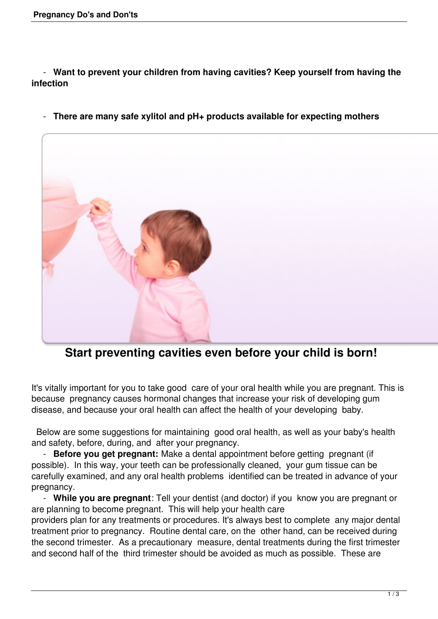- **Want to prevent your children from having cavities? Keep yourself from having the infection** 

- **There are many safe xylitol and pH+ products available for expecting mothers**



**Start preventing cavities even before your child is born!**

It's vitally important for you to take good care of your oral health while you are pregnant. This is because pregnancy causes hormonal changes that increase your risk of developing gum disease, and because your oral health can affect the health of your developing baby.

 Below are some suggestions for maintaining good oral health, as well as your baby's health and safety, before, during, and after your pregnancy.

 - **Before you get pregnant:** Make a dental appointment before getting pregnant (if possible). In this way, your teeth can be professionally cleaned, your gum tissue can be carefully examined, and any oral health problems identified can be treated in advance of your pregnancy.

 - **While you are pregnant**: Tell your dentist (and doctor) if you know you are pregnant or are planning to become pregnant. This will help your health care

providers plan for any treatments or procedures. It's always best to complete any major dental treatment prior to pregnancy. Routine dental care, on the other hand, can be received during the second trimester. As a precautionary measure, dental treatments during the first trimester and second half of the third trimester should be avoided as much as possible. These are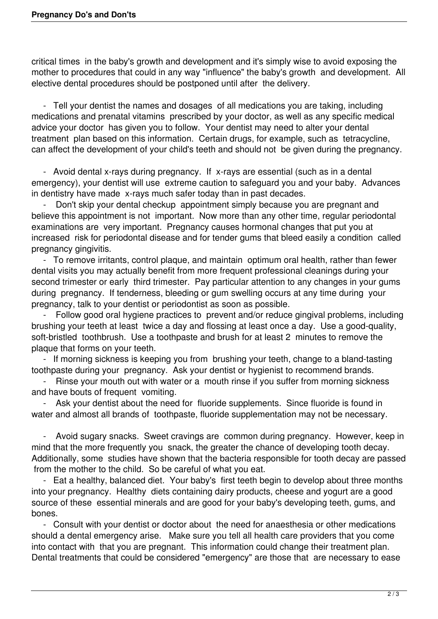critical times in the baby's growth and development and it's simply wise to avoid exposing the mother to procedures that could in any way "influence" the baby's growth and development. All elective dental procedures should be postponed until after the delivery.

 - Tell your dentist the names and dosages of all medications you are taking, including medications and prenatal vitamins prescribed by your doctor, as well as any specific medical advice your doctor has given you to follow. Your dentist may need to alter your dental treatment plan based on this information. Certain drugs, for example, such as tetracycline, can affect the development of your child's teeth and should not be given during the pregnancy.

 - Avoid dental x-rays during pregnancy. If x-rays are essential (such as in a dental emergency), your dentist will use extreme caution to safeguard you and your baby. Advances in dentistry have made x-rays much safer today than in past decades.

Don't skip your dental checkup appointment simply because you are pregnant and believe this appointment is not important. Now more than any other time, regular periodontal examinations are very important. Pregnancy causes hormonal changes that put you at increased risk for periodontal disease and for tender gums that bleed easily a condition called pregnancy gingivitis.

 - To remove irritants, control plaque, and maintain optimum oral health, rather than fewer dental visits you may actually benefit from more frequent professional cleanings during your second trimester or early third trimester. Pay particular attention to any changes in your gums during pregnancy. If tenderness, bleeding or gum swelling occurs at any time during your pregnancy, talk to your dentist or periodontist as soon as possible.

 - Follow good oral hygiene practices to prevent and/or reduce gingival problems, including brushing your teeth at least twice a day and flossing at least once a day. Use a good-quality, soft-bristled toothbrush. Use a toothpaste and brush for at least 2 minutes to remove the plaque that forms on your teeth.

 - If morning sickness is keeping you from brushing your teeth, change to a bland-tasting toothpaste during your pregnancy. Ask your dentist or hygienist to recommend brands.

- Rinse your mouth out with water or a mouth rinse if you suffer from morning sickness and have bouts of frequent vomiting.

Ask your dentist about the need for fluoride supplements. Since fluoride is found in water and almost all brands of toothpaste, fluoride supplementation may not be necessary.

Avoid sugary snacks. Sweet cravings are common during pregnancy. However, keep in mind that the more frequently you snack, the greater the chance of developing tooth decay. Additionally, some studies have shown that the bacteria responsible for tooth decay are passed from the mother to the child. So be careful of what you eat.

 - Eat a healthy, balanced diet. Your baby's first teeth begin to develop about three months into your pregnancy. Healthy diets containing dairy products, cheese and yogurt are a good source of these essential minerals and are good for your baby's developing teeth, gums, and bones.

 - Consult with your dentist or doctor about the need for anaesthesia or other medications should a dental emergency arise. Make sure you tell all health care providers that you come into contact with that you are pregnant. This information could change their treatment plan. Dental treatments that could be considered "emergency" are those that are necessary to ease